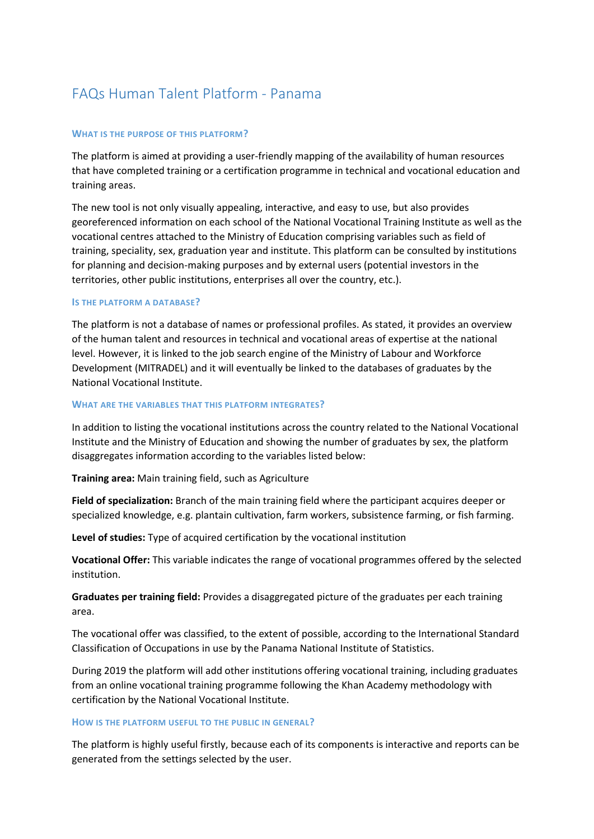# FAQs Human Talent Platform - Panama

## **WHAT IS THE PURPOSE OF THIS PLATFORM?**

The platform is aimed at providing a user-friendly mapping of the availability of human resources that have completed training or a certification programme in technical and vocational education and training areas.

The new tool is not only visually appealing, interactive, and easy to use, but also provides georeferenced information on each school of the National Vocational Training Institute as well as the vocational centres attached to the Ministry of Education comprising variables such as field of training, speciality, sex, graduation year and institute. This platform can be consulted by institutions for planning and decision-making purposes and by external users (potential investors in the territories, other public institutions, enterprises all over the country, etc.).

#### **IS THE PLATFORM A DATABASE?**

The platform is not a database of names or professional profiles. As stated, it provides an overview of the human talent and resources in technical and vocational areas of expertise at the national level. However, it is linked to the job search engine of the Ministry of Labour and Workforce Development (MITRADEL) and it will eventually be linked to the databases of graduates by the National Vocational Institute.

#### **WHAT ARE THE VARIABLES THAT THIS PLATFORM INTEGRATES?**

In addition to listing the vocational institutions across the country related to the National Vocational Institute and the Ministry of Education and showing the number of graduates by sex, the platform disaggregates information according to the variables listed below:

**Training area:** Main training field, such as Agriculture

**Field of specialization:** Branch of the main training field where the participant acquires deeper or specialized knowledge, e.g. plantain cultivation, farm workers, subsistence farming, or fish farming.

**Level of studies:** Type of acquired certification by the vocational institution

**Vocational Offer:** This variable indicates the range of vocational programmes offered by the selected institution.

**Graduates per training field:** Provides a disaggregated picture of the graduates per each training area.

The vocational offer was classified, to the extent of possible, according to the International Standard Classification of Occupations in use by the Panama National Institute of Statistics.

During 2019 the platform will add other institutions offering vocational training, including graduates from an online vocational training programme following the Khan Academy methodology with certification by the National Vocational Institute.

#### **HOW IS THE PLATFORM USEFUL TO THE PUBLIC IN GENERAL?**

The platform is highly useful firstly, because each of its components is interactive and reports can be generated from the settings selected by the user.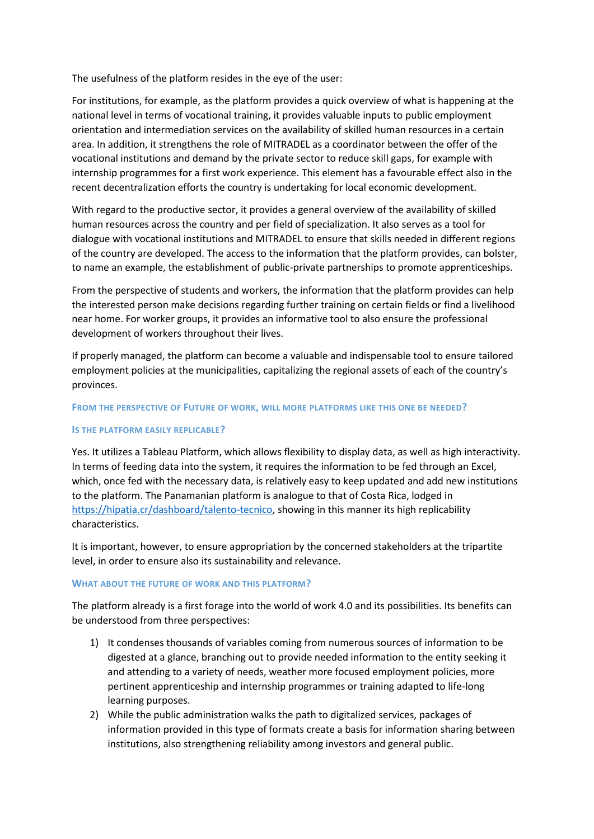The usefulness of the platform resides in the eye of the user:

For institutions, for example, as the platform provides a quick overview of what is happening at the national level in terms of vocational training, it provides valuable inputs to public employment orientation and intermediation services on the availability of skilled human resources in a certain area. In addition, it strengthens the role of MITRADEL as a coordinator between the offer of the vocational institutions and demand by the private sector to reduce skill gaps, for example with internship programmes for a first work experience. This element has a favourable effect also in the recent decentralization efforts the country is undertaking for local economic development.

With regard to the productive sector, it provides a general overview of the availability of skilled human resources across the country and per field of specialization. It also serves as a tool for dialogue with vocational institutions and MITRADEL to ensure that skills needed in different regions of the country are developed. The access to the information that the platform provides, can bolster, to name an example, the establishment of public-private partnerships to promote apprenticeships.

From the perspective of students and workers, the information that the platform provides can help the interested person make decisions regarding further training on certain fields or find a livelihood near home. For worker groups, it provides an informative tool to also ensure the professional development of workers throughout their lives.

If properly managed, the platform can become a valuable and indispensable tool to ensure tailored employment policies at the municipalities, capitalizing the regional assets of each of the country's provinces.

### **FROM THE PERSPECTIVE OF FUTURE OF WORK, WILL MORE PLATFORMS LIKE THIS ONE BE NEEDED?**

## **IS THE PLATFORM EASILY REPLICABLE?**

Yes. It utilizes a Tableau Platform, which allows flexibility to display data, as well as high interactivity. In terms of feeding data into the system, it requires the information to be fed through an Excel, which, once fed with the necessary data, is relatively easy to keep updated and add new institutions to the platform. The Panamanian platform is analogue to that of Costa Rica, lodged in [https://hipatia.cr/dashboard/talento-tecnico,](https://hipatia.cr/dashboard/talento-tecnico) showing in this manner its high replicability characteristics.

It is important, however, to ensure appropriation by the concerned stakeholders at the tripartite level, in order to ensure also its sustainability and relevance.

#### **WHAT ABOUT THE FUTURE OF WORK AND THIS PLATFORM?**

The platform already is a first forage into the world of work 4.0 and its possibilities. Its benefits can be understood from three perspectives:

- 1) It condenses thousands of variables coming from numerous sources of information to be digested at a glance, branching out to provide needed information to the entity seeking it and attending to a variety of needs, weather more focused employment policies, more pertinent apprenticeship and internship programmes or training adapted to life-long learning purposes.
- 2) While the public administration walks the path to digitalized services, packages of information provided in this type of formats create a basis for information sharing between institutions, also strengthening reliability among investors and general public.